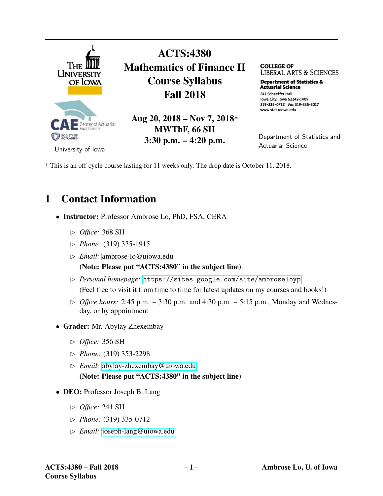

ACTS:4380 Mathematics of Finance II Course Syllabus Fall 2018

Aug 20, 2018 – Nov 7, 2018\* MWThF, 66 SH 3:30 p.m. – 4:20 p.m.

**COLLEGE OF**  LIBERAL ARTS & SCIENCES

**Department of Statistics & Actuarial science**  241 Schaeffer Hall Iowa City, Iowa 52242-1409 319-335-0712 Fax 319-335-3017 www.stat.uiowa.edu

Department of Statistics and Actuarial Science

\* This is an off-cycle course lasting for 11 weeks only. The drop date is October 11, 2018.

# 1 Contact Information

- Instructor: Professor Ambrose Lo, PhD, FSA, CERA
	- ✄ *Office:* 368 SH
	- ✄ *Phone:* (319) 335-1915
	- ✄ *Email:* [ambrose-lo@uiowa.edu](mailto:ambrose-lo@uiowa.edu)

(Note: Please put "ACTS:4380" in the subject line)

- ✄ *Personal homepage:* <https://sites.google.com/site/ambroseloyp> (Feel free to visit it from time to time for latest updates on my courses and books!)
- $\triangleright$  *Office hours:* 2:45 p.m. 3:30 p.m. and 4:30 p.m. 5:15 p.m., Monday and Wednesday, or by appointment
- Grader: Mr. Abylay Zhexembay
	- ✄ *Office:* 356 SH
	- ✄ *Phone:* (319) 353-2298
	- ✄ *Email:* [abylay-zhexembay@uiowa.edu](mailto:abylay-zhexembay@uiowa.edu) (Note: Please put "ACTS:4380" in the subject line)
- DEO: Professor Joseph B. Lang
	- ✄ *Office:* 241 SH
	- ✄ *Phone:* (319) 335-0712
	- ✄ *Email:* [joseph-lang@uiowa.edu](mailto:joseph-lang@uiowa.edu)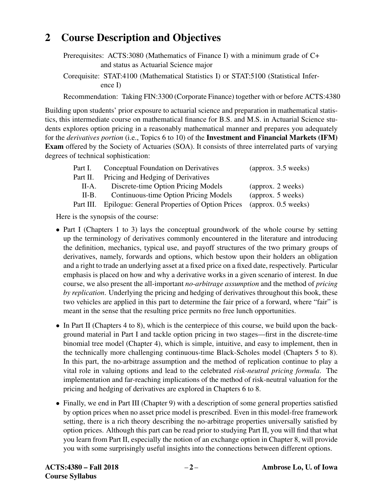# 2 Course Description and Objectives

Prerequisites: ACTS:3080 (Mathematics of Finance I) with a minimum grade of C+ and status as Actuarial Science major

Corequisite: STAT:4100 (Mathematical Statistics I) or STAT:5100 (Statistical Inference I)

Recommendation: Taking FIN:3300 (Corporate Finance) together with or before ACTS:4380

Building upon students' prior exposure to actuarial science and preparation in mathematical statistics, this intermediate course on mathematical finance for B.S. and M.S. in Actuarial Science students explores option pricing in a reasonably mathematical manner and prepares you adequately for the *derivatives portion* (i.e., Topics 6 to 10) of the Investment and Financial Markets (IFM) Exam offered by the Society of Actuaries (SOA). It consists of three interrelated parts of varying degrees of technical sophistication:

| Part I.   | Conceptual Foundation on Derivatives          | $\frac{1}{2}$ (approx. 3.5 weeks) |
|-----------|-----------------------------------------------|-----------------------------------|
| Part II.  | Pricing and Hedging of Derivatives            |                                   |
| $II-A.$   | Discrete-time Option Pricing Models           | (approx. 2 weeks)                 |
| $II-B.$   | Continuous-time Option Pricing Models         | (approx. 5 weeks)                 |
| Part III. | Epilogue: General Properties of Option Prices | $\frac{1}{2}$ (approx. 0.5 weeks) |

Here is the synopsis of the course:

- Part I (Chapters 1 to 3) lays the conceptual groundwork of the whole course by setting up the terminology of derivatives commonly encountered in the literature and introducing the definition, mechanics, typical use, and payoff structures of the two primary groups of derivatives, namely, forwards and options, which bestow upon their holders an obligation and a right to trade an underlying asset at a fixed price on a fixed date, respectively. Particular emphasis is placed on how and why a derivative works in a given scenario of interest. In due course, we also present the all-important *no-arbitrage assumption* and the method of *pricing by replication*. Underlying the pricing and hedging of derivatives throughout this book, these two vehicles are applied in this part to determine the fair price of a forward, where "fair" is meant in the sense that the resulting price permits no free lunch opportunities.
- In Part II (Chapters 4 to 8), which is the centerpiece of this course, we build upon the background material in Part I and tackle option pricing in two stages—first in the discrete-time binomial tree model (Chapter 4), which is simple, intuitive, and easy to implement, then in the technically more challenging continuous-time Black-Scholes model (Chapters 5 to 8). In this part, the no-arbitrage assumption and the method of replication continue to play a vital role in valuing options and lead to the celebrated *risk-neutral pricing formula*. The implementation and far-reaching implications of the method of risk-neutral valuation for the pricing and hedging of derivatives are explored in Chapters 6 to 8.
- Finally, we end in Part III (Chapter 9) with a description of some general properties satisfied by option prices when no asset price model is prescribed. Even in this model-free framework setting, there is a rich theory describing the no-arbitrage properties universally satisfied by option prices. Although this part can be read prior to studying Part II, you will find that what you learn from Part II, especially the notion of an exchange option in Chapter 8, will provide you with some surprisingly useful insights into the connections between different options.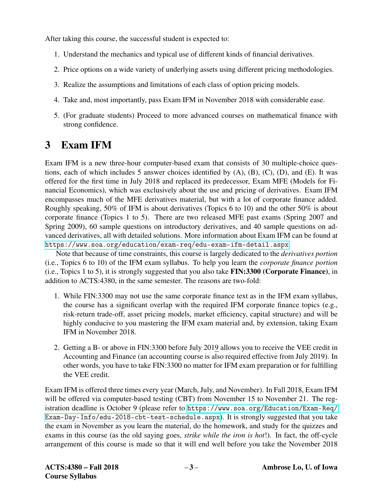After taking this course, the successful student is expected to:

- 1. Understand the mechanics and typical use of different kinds of financial derivatives.
- 2. Price options on a wide variety of underlying assets using different pricing methodologies.
- 3. Realize the assumptions and limitations of each class of option pricing models.
- 4. Take and, most importantly, pass Exam IFM in November 2018 with considerable ease.
- 5. (For graduate students) Proceed to more advanced courses on mathematical finance with strong confidence.

# 3 Exam IFM

Exam IFM is a new three-hour computer-based exam that consists of 30 multiple-choice questions, each of which includes 5 answer choices identified by (A), (B), (C), (D), and (E). It was offered for the first time in July 2018 and replaced its predecessor, Exam MFE (Models for Financial Economics), which was exclusively about the use and pricing of derivatives. Exam IFM encompasses much of the MFE derivatives material, but with a lot of corporate finance added. Roughly speaking, 50% of IFM is about derivatives (Topics 6 to 10) and the other 50% is about corporate finance (Topics 1 to 5). There are two released MFE past exams (Spring 2007 and Spring 2009), 60 sample questions on introductory derivatives, and 40 sample questions on advanced derivatives, all with detailed solutions. More information about Exam IFM can be found at <https://www.soa.org/education/exam-req/edu-exam-ifm-detail.aspx>.

Note that because of time constraints, this course is largely dedicated to the *derivatives portion* (i.e., Topics 6 to 10) of the IFM exam syllabus. To help you learn the *corporate finance portion* (i.e., Topics 1 to 5), it is strongly suggested that you also take FIN:3300 (Corporate Finance), in addition to ACTS:4380, in the same semester. The reasons are two-fold:

- 1. While FIN:3300 may not use the same corporate finance text as in the IFM exam syllabus, the course has a significant overlap with the required IFM corporate finance topics (e.g., risk-return trade-off, asset pricing models, market efficiency, capital structure) and will be highly conducive to you mastering the IFM exam material and, by extension, taking Exam IFM in November 2018.
- 2. Getting a B- or above in FIN:3300 before July 2019 allows you to receive the VEE credit in Accounting and Finance (an accounting course is also required effective from July 2019). In other words, you have to take FIN:3300 no matter for IFM exam preparation or for fulfilling the VEE credit.

Exam IFM is offered three times every year (March, July, and November). In Fall 2018, Exam IFM will be offered via computer-based testing (CBT) from November 15 to November 21. The registration deadline is October 9 (please refer to [https://www.soa.org/Education/Exam-Req/](https://www.soa.org/Education/Exam-Req/Exam-Day-Info/edu-2018-cbt-test-schedule.aspx) [Exam-Day-Info/edu-2018-cbt-test-schedule.aspx](https://www.soa.org/Education/Exam-Req/Exam-Day-Info/edu-2018-cbt-test-schedule.aspx)). It is strongly suggested that you take the exam in November as you learn the material, do the homework, and study for the quizzes and exams in this course (as the old saying goes, *strike while the iron is hot*!). In fact, the off-cycle arrangement of this course is made so that it will end well before you take the November 2018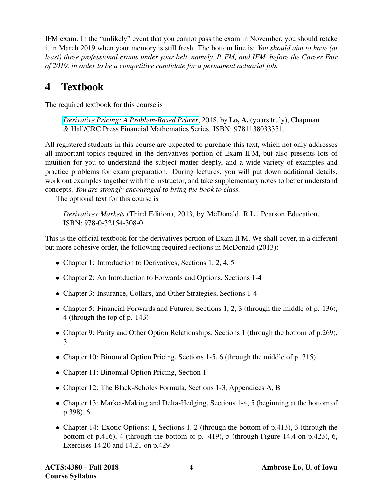IFM exam. In the "unlikely" event that you cannot pass the exam in November, you should retake it in March 2019 when your memory is still fresh. The bottom line is: *You should aim to have (at least) three professional exams under your belt, namely, P, FM, and IFM, before the Career Fair of 2019, in order to be a competitive candidate for a permanent actuarial job.*

# 4 Textbook

The required textbook for this course is

*[Derivative Pricing: A Problem-Based Primer](https://www.crcpress.com/Derivative-Pricing-A-Problem-Based-Primer/Lo/p/book/9781138033351)*, 2018, by Lo, A. (yours truly), Chapman & Hall/CRC Press Financial Mathematics Series. ISBN: 9781138033351.

All registered students in this course are expected to purchase this text, which not only addresses all important topics required in the derivatives portion of Exam IFM, but also presents lots of intuition for you to understand the subject matter deeply, and a wide variety of examples and practice problems for exam preparation. During lectures, you will put down additional details, work out examples together with the instructor, and take supplementary notes to better understand concepts. *You are strongly encouraged to bring the book to class.*

The optional text for this course is

*Derivatives Markets* (Third Edition), 2013, by McDonald, R.L., Pearson Education, ISBN: 978-0-32154-308-0.

This is the official textbook for the derivatives portion of Exam IFM. We shall cover, in a different but more cohesive order, the following required sections in McDonald (2013):

- Chapter 1: Introduction to Derivatives, Sections 1, 2, 4, 5
- Chapter 2: An Introduction to Forwards and Options, Sections 1-4
- Chapter 3: Insurance, Collars, and Other Strategies, Sections 1-4
- Chapter 5: Financial Forwards and Futures, Sections 1, 2, 3 (through the middle of p. 136), 4 (through the top of p. 143)
- Chapter 9: Parity and Other Option Relationships, Sections 1 (through the bottom of p.269), 3
- Chapter 10: Binomial Option Pricing, Sections 1-5, 6 (through the middle of p. 315)
- Chapter 11: Binomial Option Pricing, Section 1
- Chapter 12: The Black-Scholes Formula, Sections 1-3, Appendices A, B
- Chapter 13: Market-Making and Delta-Hedging, Sections 1-4, 5 (beginning at the bottom of p.398), 6
- Chapter 14: Exotic Options: I, Sections 1, 2 (through the bottom of p.413), 3 (through the bottom of p.416), 4 (through the bottom of p. 419), 5 (through Figure 14.4 on p.423), 6, Exercises 14.20 and 14.21 on p.429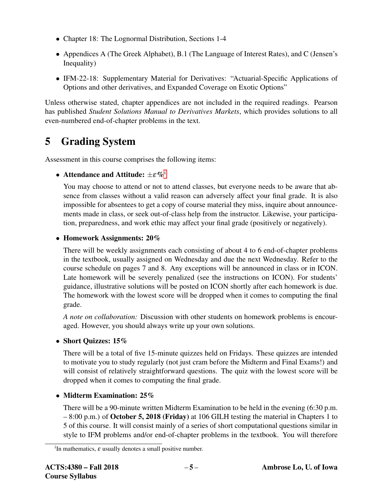- Chapter 18: The Lognormal Distribution, Sections 1-4
- Appendices A (The Greek Alphabet), B.1 (The Language of Interest Rates), and C (Jensen's Inequality)
- IFM-22-18: Supplementary Material for Derivatives: "Actuarial-Specific Applications of Options and other derivatives, and Expanded Coverage on Exotic Options"

Unless otherwise stated, chapter appendices are not included in the required readings. Pearson has published *Student Solutions Manual to Derivatives Markets*, which provides solutions to all even-numbered end-of-chapter problems in the text.

# 5 Grading System

Assessment in this course comprises the following items:

### • Attendance and Att[i](#page-4-0)tude:  $\pm \varepsilon \,\% ^{\text{i}}$

You may choose to attend or not to attend classes, but everyone needs to be aware that absence from classes without a valid reason can adversely affect your final grade. It is also impossible for absentees to get a copy of course material they miss, inquire about announcements made in class, or seek out-of-class help from the instructor. Likewise, your participation, preparedness, and work ethic may affect your final grade (positively or negatively).

### • Homework Assignments: 20%

There will be weekly assignments each consisting of about 4 to 6 end-of-chapter problems in the textbook, usually assigned on Wednesday and due the next Wednesday. Refer to the course schedule on pages 7 and 8. Any exceptions will be announced in class or in ICON. Late homework will be severely penalized (see the instructions on ICON). For students' guidance, illustrative solutions will be posted on ICON shortly after each homework is due. The homework with the lowest score will be dropped when it comes to computing the final grade.

*A note on collaboration:* Discussion with other students on homework problems is encouraged. However, you should always write up your own solutions.

### • Short Quizzes: 15%

There will be a total of five 15-minute quizzes held on Fridays. These quizzes are intended to motivate you to study regularly (not just cram before the Midterm and Final Exams!) and will consist of relatively straightforward questions. The quiz with the lowest score will be dropped when it comes to computing the final grade.

### • Midterm Examination: 25%

There will be a 90-minute written Midterm Examination to be held in the evening (6:30 p.m.  $-8:00$  p.m.) of October 5, 2018 (Friday) at 106 GILH testing the material in Chapters 1 to 5 of this course. It will consist mainly of a series of short computational questions similar in style to IFM problems and/or end-of-chapter problems in the textbook. You will therefore

<span id="page-4-0"></span><sup>&</sup>lt;sup>i</sup>In mathematics,  $\varepsilon$  usually denotes a small positive number.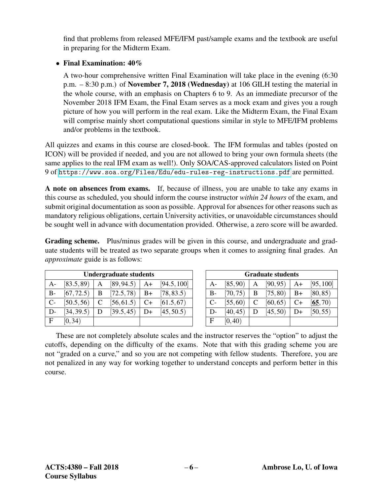find that problems from released MFE/IFM past/sample exams and the textbook are useful in preparing for the Midterm Exam.

### • Final Examination:  $40\%$

A two-hour comprehensive written Final Examination will take place in the evening (6:30 p.m. – 8:30 p.m.) of November 7, 2018 (Wednesday) at 106 GILH testing the material in the whole course, with an emphasis on Chapters 6 to 9. As an immediate precursor of the November 2018 IFM Exam, the Final Exam serves as a mock exam and gives you a rough picture of how you will perform in the real exam. Like the Midterm Exam, the Final Exam will comprise mainly short computational questions similar in style to MFE/IFM problems and/or problems in the textbook.

All quizzes and exams in this course are closed-book. The IFM formulas and tables (posted on ICON) will be provided if needed, and you are not allowed to bring your own formula sheets (the same applies to the real IFM exam as well!). Only SOA/CAS-approved calculators listed on Point 9 of <https://www.soa.org/Files/Edu/edu-rules-reg-instructions.pdf> are permitted.

A note on absences from exams. If, because of illness, you are unable to take any exams in this course as scheduled, you should inform the course instructor *within 24 hours* of the exam, and submit original documentation as soon as possible. Approval for absences for other reasons such as mandatory religious obligations, certain University activities, or unavoidable circumstances should be sought well in advance with documentation provided. Otherwise, a zero score will be awarded.

Grading scheme. Plus/minus grades will be given in this course, and undergraduate and graduate students will be treated as two separate groups when it comes to assigning final grades. An *approximate* guide is as follows:

| <b>Undergraduate students</b> |            |   |            |      |             |
|-------------------------------|------------|---|------------|------|-------------|
| $A-$                          | [83.5, 89] | A | [89, 94.5] | A+   | [94.5, 100] |
| $B-$                          | [67, 72.5] | B | [72.5, 78] | $B+$ | [78, 83.5]  |
| $C-$                          | [50.5, 56] | C | [56, 61.5] | $C+$ | [61.5, 67]  |
| D-                            | [34, 39.5) | D | [39.5, 45] | D+   | [45, 50.5]  |
| $\mathbf{F}$                  | [0, 34)    |   |            |      |             |

| <b>Graduate students</b> |          |   |          |      |           |
|--------------------------|----------|---|----------|------|-----------|
| A-                       | [85, 90) | A | [90, 95) | A+   | [95, 100] |
| B-                       | [70, 75) | B | [75, 80) | $B+$ | [80, 85)  |
| $C-$                     | [55, 60] | C | [60, 65) | $C+$ | [65, 70)  |
| D-                       | [40, 45) | D | [45, 50) | D+   | [50, 55)  |
| $\mathbf{F}$             | [0, 40)  |   |          |      |           |

These are not completely absolute scales and the instructor reserves the "option" to adjust the cutoffs, depending on the difficulty of the exams. Note that with this grading scheme you are not "graded on a curve," and so you are not competing with fellow students. Therefore, you are not penalized in any way for working together to understand concepts and perform better in this course.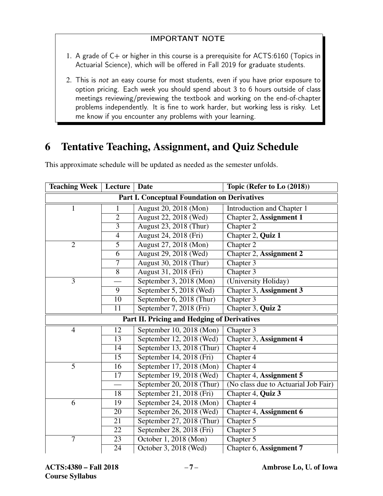### IMPORTANT NOTE

- 1. A grade of  $C+$  or higher in this course is a prerequisite for ACTS:6160 (Topics in Actuarial Science), which will be offered in Fall 2019 for graduate students.
- 2. This is not an easy course for most students, even if you have prior exposure to option pricing. Each week you should spend about 3 to 6 hours outside of class meetings reviewing/previewing the textbook and working on the end-of-chapter problems independently. It is fine to work harder, but working less is risky. Let me know if you encounter any problems with your learning.

# 6 Tentative Teaching, Assignment, and Quiz Schedule

| <b>Teaching Week</b>                                | Lecture<br><b>Date</b> |                           | Topic (Refer to Lo (2018))           |  |  |
|-----------------------------------------------------|------------------------|---------------------------|--------------------------------------|--|--|
| <b>Part I. Conceptual Foundation on Derivatives</b> |                        |                           |                                      |  |  |
| $\mathbf{1}$                                        | 1                      | August 20, 2018 (Mon)     | Introduction and Chapter 1           |  |  |
|                                                     | $\overline{2}$         | August 22, 2018 (Wed)     | Chapter 2, Assignment 1              |  |  |
|                                                     | $\overline{3}$         | August 23, 2018 (Thur)    | Chapter 2                            |  |  |
|                                                     | $\overline{4}$         | August 24, 2018 (Fri)     | Chapter 2, Quiz 1                    |  |  |
| $\overline{2}$                                      | 5                      | August 27, 2018 (Mon)     | Chapter 2                            |  |  |
|                                                     | 6                      | August 29, 2018 (Wed)     | Chapter 2, Assignment 2              |  |  |
|                                                     | $\overline{\tau}$      | August 30, 2018 (Thur)    | Chapter 3                            |  |  |
|                                                     | 8                      | August 31, 2018 (Fri)     | Chapter 3                            |  |  |
| 3                                                   |                        | September 3, 2018 (Mon)   | (University Holiday)                 |  |  |
|                                                     | 9                      | September 5, 2018 (Wed)   | Chapter 3, Assignment 3              |  |  |
|                                                     | 10                     | September 6, 2018 (Thur)  | Chapter 3                            |  |  |
|                                                     | 11                     | September 7, 2018 (Fri)   | Chapter 3, Quiz 2                    |  |  |
| Part II. Pricing and Hedging of Derivatives         |                        |                           |                                      |  |  |
| $\overline{4}$                                      | 12                     | September 10, 2018 (Mon)  | Chapter 3                            |  |  |
|                                                     | 13                     | September 12, 2018 (Wed)  | Chapter 3, Assignment 4              |  |  |
|                                                     | 14                     | September 13, 2018 (Thur) | Chapter 4                            |  |  |
|                                                     | 15                     | September 14, 2018 (Fri)  | Chapter 4                            |  |  |
| $\overline{5}$                                      | 16                     | September 17, 2018 (Mon)  | Chapter 4                            |  |  |
|                                                     | 17                     | September 19, 2018 (Wed)  | Chapter 4, Assignment 5              |  |  |
|                                                     | $\qquad \qquad$        | September 20, 2018 (Thur) | (No class due to Actuarial Job Fair) |  |  |
|                                                     | 18                     | September 21, 2018 (Fri)  | Chapter 4, Quiz 3                    |  |  |
| 6                                                   | 19                     | September 24, 2018 (Mon)  | Chapter 4                            |  |  |
|                                                     | 20                     | September 26, 2018 (Wed)  | Chapter 4, Assignment 6              |  |  |
|                                                     | $\overline{21}$        | September 27, 2018 (Thur) | Chapter 5                            |  |  |
|                                                     | 22                     | September 28, 2018 (Fri)  | Chapter 5                            |  |  |
| $\overline{7}$                                      | 23                     | October 1, 2018 (Mon)     | Chapter 5                            |  |  |
|                                                     | 24                     | October 3, 2018 (Wed)     | Chapter 6, Assignment 7              |  |  |

This approximate schedule will be updated as needed as the semester unfolds.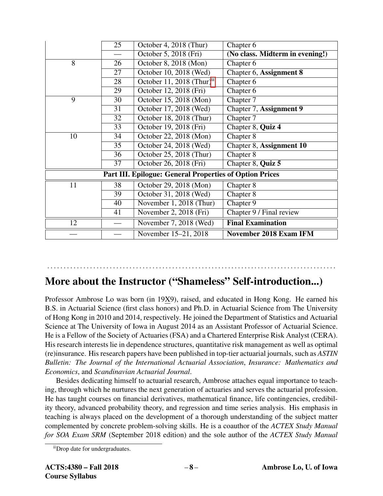|                                                                | 25              | October 4, 2018 (Thur)                | Chapter 6                       |  |  |  |
|----------------------------------------------------------------|-----------------|---------------------------------------|---------------------------------|--|--|--|
|                                                                |                 | October 5, 2018 (Fri)                 | (No class. Midterm in evening!) |  |  |  |
| 8                                                              | 26              | October 8, 2018 (Mon)                 | Chapter 6                       |  |  |  |
|                                                                | $\overline{27}$ | October 10, 2018 (Wed)                | Chapter 6, Assignment 8         |  |  |  |
|                                                                | 28              | October 11, 2018 (Thur) <sup>11</sup> | Chapter 6                       |  |  |  |
|                                                                | 29              | October 12, 2018 (Fri)                | Chapter 6                       |  |  |  |
| 9                                                              | 30              | October 15, 2018 (Mon)                | Chapter 7                       |  |  |  |
|                                                                | $\overline{31}$ | October 17, 2018 (Wed)                | Chapter 7, Assignment 9         |  |  |  |
|                                                                | 32              | October 18, 2018 (Thur)               | Chapter 7                       |  |  |  |
|                                                                | $\overline{33}$ | October 19, 2018 (Fri)                | Chapter 8, Quiz 4               |  |  |  |
| 10                                                             | 34              | October 22, 2018 (Mon)                | Chapter 8                       |  |  |  |
|                                                                | 35              | October 24, 2018 (Wed)                | Chapter 8, Assignment 10        |  |  |  |
|                                                                | 36              | October 25, 2018 (Thur)               | Chapter 8                       |  |  |  |
|                                                                | 37              | October 26, 2018 (Fri)                | Chapter 8, Quiz 5               |  |  |  |
| <b>Part III. Epilogue: General Properties of Option Prices</b> |                 |                                       |                                 |  |  |  |
| 11                                                             | 38              | October 29, 2018 (Mon)                | Chapter 8                       |  |  |  |
|                                                                | 39              | October 31, 2018 (Wed)                | Chapter 8                       |  |  |  |
|                                                                | 40              | November 1, 2018 (Thur)               | Chapter 9                       |  |  |  |
|                                                                | 41              | November 2, 2018 (Fri)                | Chapter 9 / Final review        |  |  |  |
| 12                                                             |                 | November 7, 2018 (Wed)                | <b>Final Examination</b>        |  |  |  |
|                                                                |                 | November 15-21, 2018                  | <b>November 2018 Exam IFM</b>   |  |  |  |

# More about the Instructor ("Shameless" Self-introduction...)

. . . . . . . . . . . . . . . . . . . . . . . . . . . . . . . . . . . . . . . . . . . . . . . . . . . . . . . . . . . . . . . . . . . . . . . . . . . . . . . . . . . . . . . .

Professor Ambrose Lo was born (in 19X9), raised, and educated in Hong Kong. He earned his B.S. in Actuarial Science (first class honors) and Ph.D. in Actuarial Science from The University of Hong Kong in 2010 and 2014, respectively. He joined the Department of Statistics and Actuarial Science at The University of Iowa in August 2014 as an Assistant Professor of Actuarial Science. He is a Fellow of the Society of Actuaries (FSA) and a Chartered Enterprise Risk Analyst (CERA). His research interests lie in dependence structures, quantitative risk management as well as optimal (re)insurance. His research papers have been published in top-tier actuarial journals, such as *ASTIN Bulletin: The Journal of the International Actuarial Association*, *Insurance: Mathematics and Economics*, and *Scandinavian Actuarial Journal*.

Besides dedicating himself to actuarial research, Ambrose attaches equal importance to teaching, through which he nurtures the next generation of actuaries and serves the actuarial profession. He has taught courses on financial derivatives, mathematical finance, life contingencies, credibility theory, advanced probability theory, and regression and time series analysis. His emphasis in teaching is always placed on the development of a thorough understanding of the subject matter complemented by concrete problem-solving skills. He is a coauthor of the *ACTEX Study Manual for SOA Exam SRM* (September 2018 edition) and the sole author of the *ACTEX Study Manual*

<span id="page-7-0"></span>iiDrop date for undergraduates.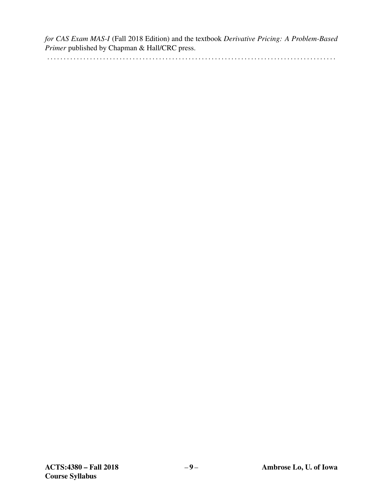*for CAS Exam MAS-I* (Fall 2018 Edition) and the textbook *Derivative Pricing: A Problem-Based Primer* published by Chapman & Hall/CRC press.

. . . . . . . . . . . . . . . . . . . . . . . . . . . . . . . . . . . . . . . . . . . . . . . . . . . . . . . . . . . . . . . . . . . . . . . . . . . . . . . . . . . . . . . .